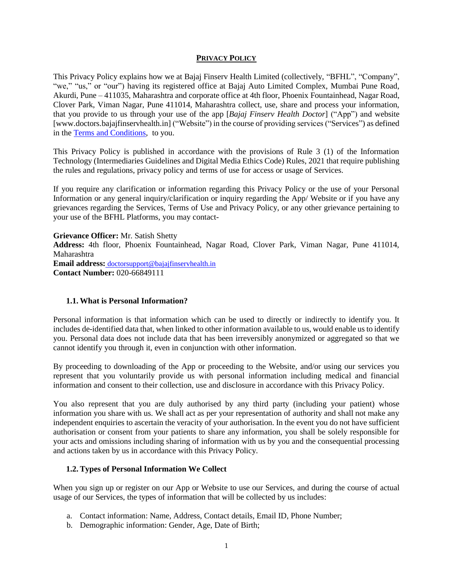#### **PRIVACY POLICY**

This Privacy Policy explains how we at Bajaj Finserv Health Limited (collectively, "BFHL", "Company", "we," "us," or "our") having its registered office at Bajaj Auto Limited Complex, Mumbai Pune Road, Akurdi, Pune – 411035, Maharashtra and corporate office at 4th floor, Phoenix Fountainhead, Nagar Road, Clover Park, Viman Nagar, Pune 411014, Maharashtra collect, use, share and process your information, that you provide to us through your use of the app [*Bajaj Finserv Health Doctor*] ("App") and website [www[.doctors.bajajfinservhealth.in\]](https://clicktime.symantec.com/34v5WT5pNA28PqvPCiMLoYN7Vc?u=http%3A%2F%2Fdoctors.healthrx.co.in) ("Website") in the course of providing services ("Services") as defined in the Terms [and Conditions,](https://doctorlistingingestionpr.blob.core.windows.net/other/T%26C/DoctorRx%20T%26Cs.pdf) to you.

This Privacy Policy is published in accordance with the provisions of Rule 3 (1) of the Information Technology (Intermediaries Guidelines and Digital Media Ethics Code) Rules, 2021 that require publishing the rules and regulations, privacy policy and terms of use for access or usage of Services.

If you require any clarification or information regarding this Privacy Policy or the use of your Personal Information or any general inquiry/clarification or inquiry regarding the App/ Website or if you have any grievances regarding the Services, Terms of Use and Privacy Policy, or any other grievance pertaining to your use of the BFHL Platforms, you may contact-

**Grievance Officer:** Mr. Satish Shetty **Address:** 4th floor, Phoenix Fountainhead, Nagar Road, Clover Park, Viman Nagar, Pune 411014, Maharashtra **Email address:** [doctorsupport@bajajfinservhealth.in](mailto:doctorsupport@bajajfinservhealth.in) **Contact Number:** 020-66849111

## **1.1. What is Personal Information?**

Personal information is that information which can be used to directly or indirectly to identify you. It includes de-identified data that, when linked to other information available to us, would enable us to identify you. Personal data does not include data that has been irreversibly anonymized or aggregated so that we cannot identify you through it, even in conjunction with other information.

By proceeding to downloading of the App or proceeding to the Website, and/or using our services you represent that you voluntarily provide us with personal information including medical and financial information and consent to their collection, use and disclosure in accordance with this Privacy Policy.

You also represent that you are duly authorised by any third party (including your patient) whose information you share with us. We shall act as per your representation of authority and shall not make any independent enquiries to ascertain the veracity of your authorisation. In the event you do not have sufficient authorisation or consent from your patients to share any information, you shall be solely responsible for your acts and omissions including sharing of information with us by you and the consequential processing and actions taken by us in accordance with this Privacy Policy.

## **1.2. Types of Personal Information We Collect**

When you sign up or register on our App or Website to use our Services, and during the course of actual usage of our Services, the types of information that will be collected by us includes:

- a. Contact information: Name, Address, Contact details, Email ID, Phone Number;
- b. Demographic information: Gender, Age, Date of Birth;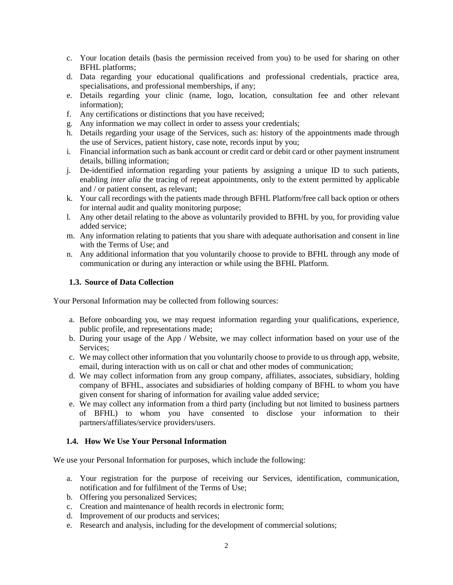- c. Your location details (basis the permission received from you) to be used for sharing on other BFHL platforms;
- d. Data regarding your educational qualifications and professional credentials, practice area, specialisations, and professional memberships, if any;
- e. Details regarding your clinic (name, logo, location, consultation fee and other relevant information);
- f. Any certifications or distinctions that you have received;
- g. Any information we may collect in order to assess your credentials;
- h. Details regarding your usage of the Services, such as: history of the appointments made through the use of Services, patient history, case note, records input by you;
- i. Financial information such as bank account or credit card or debit card or other payment instrument details, billing information;
- j. De-identified information regarding your patients by assigning a unique ID to such patients, enabling *inter alia* the tracing of repeat appointments, only to the extent permitted by applicable and / or patient consent, as relevant;
- k. Your call recordings with the patients made through BFHL Platform/free call back option or others for internal audit and quality monitoring purpose;
- l. Any other detail relating to the above as voluntarily provided to BFHL by you, for providing value added service;
- m. Any information relating to patients that you share with adequate authorisation and consent in line with the Terms of Use; and
- n. Any additional information that you voluntarily choose to provide to BFHL through any mode of communication or during any interaction or while using the BFHL Platform.

## **1.3. Source of Data Collection**

Your Personal Information may be collected from following sources:

- a. Before onboarding you, we may request information regarding your qualifications, experience, public profile, and representations made;
- b. During your usage of the App / Website, we may collect information based on your use of the Services;
- c. We may collect other information that you voluntarily choose to provide to us through app, website, email, during interaction with us on call or chat and other modes of communication;
- d. We may collect information from any group company, affiliates, associates, subsidiary, holding company of BFHL, associates and subsidiaries of holding company of BFHL to whom you have given consent for sharing of information for availing value added service;
- e. We may collect any information from a third party (including but not limited to business partners of BFHL) to whom you have consented to disclose your information to their partners/affiliates/service providers/users.

## **1.4. How We Use Your Personal Information**

We use your Personal Information for purposes, which include the following:

- a. Your registration for the purpose of receiving our Services, identification, communication, notification and for fulfilment of the Terms of Use;
- b. Offering you personalized Services;
- c. Creation and maintenance of health records in electronic form;
- d. Improvement of our products and services;
- e. Research and analysis, including for the development of commercial solutions;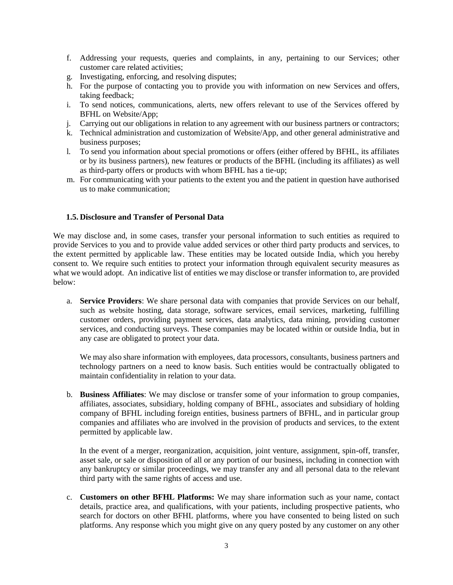- f. Addressing your requests, queries and complaints, in any, pertaining to our Services; other customer care related activities;
- g. Investigating, enforcing, and resolving disputes;
- h. For the purpose of contacting you to provide you with information on new Services and offers, taking feedback;
- i. To send notices, communications, alerts, new offers relevant to use of the Services offered by BFHL on Website/App;
- j. Carrying out our obligations in relation to any agreement with our business partners or contractors;
- k. Technical administration and customization of Website/App, and other general administrative and business purposes;
- l. To send you information about special promotions or offers (either offered by BFHL, its affiliates or by its business partners), new features or products of the BFHL (including its affiliates) as well as third-party offers or products with whom BFHL has a tie-up;
- m. For communicating with your patients to the extent you and the patient in question have authorised us to make communication;

#### **1.5. Disclosure and Transfer of Personal Data**

We may disclose and, in some cases, transfer your personal information to such entities as required to provide Services to you and to provide value added services or other third party products and services, to the extent permitted by applicable law. These entities may be located outside India, which you hereby consent to. We require such entities to protect your information through equivalent security measures as what we would adopt. An indicative list of entities we may disclose or transfer information to, are provided below:

a. **Service Providers**: We share personal data with companies that provide Services on our behalf, such as website hosting, data storage, software services, email services, marketing, fulfilling customer orders, providing payment services, data analytics, data mining, providing customer services, and conducting surveys. These companies may be located within or outside India, but in any case are obligated to protect your data.

We may also share information with employees, data processors, consultants, business partners and technology partners on a need to know basis. Such entities would be contractually obligated to maintain confidentiality in relation to your data.

b. **Business Affiliates**: We may disclose or transfer some of your information to group companies, affiliates, associates, subsidiary, holding company of BFHL, associates and subsidiary of holding company of BFHL including foreign entities, business partners of BFHL, and in particular group companies and affiliates who are involved in the provision of products and services, to the extent permitted by applicable law.

In the event of a merger, reorganization, acquisition, joint venture, assignment, spin-off, transfer, asset sale, or sale or disposition of all or any portion of our business, including in connection with any bankruptcy or similar proceedings, we may transfer any and all personal data to the relevant third party with the same rights of access and use.

c. **Customers on other BFHL Platforms:** We may share information such as your name, contact details, practice area, and qualifications, with your patients, including prospective patients, who search for doctors on other BFHL platforms, where you have consented to being listed on such platforms. Any response which you might give on any query posted by any customer on any other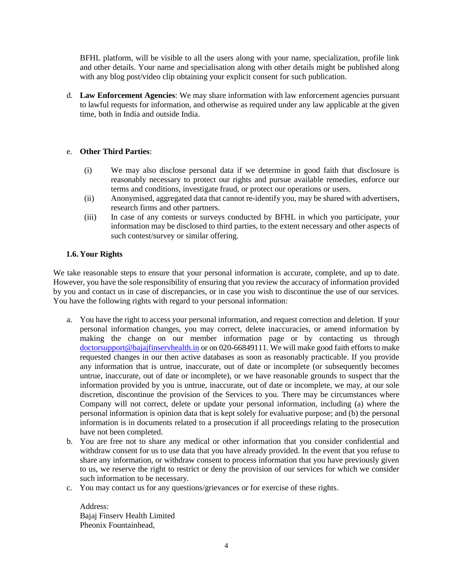BFHL platform, will be visible to all the users along with your name, specialization, profile link and other details. Your name and specialisation along with other details might be published along with any blog post/video clip obtaining your explicit consent for such publication.

d. **Law Enforcement Agencies**: We may share information with law enforcement agencies pursuant to lawful requests for information, and otherwise as required under any law applicable at the given time, both in India and outside India.

## e. **Other Third Parties**:

- (i) We may also disclose personal data if we determine in good faith that disclosure is reasonably necessary to protect our rights and pursue available remedies, enforce our terms and conditions, investigate fraud, or protect our operations or users.
- (ii) Anonymised, aggregated data that cannot re-identify you, may be shared with advertisers, research firms and other partners.
- (iii) In case of any contests or surveys conducted by BFHL in which you participate, your information may be disclosed to third parties, to the extent necessary and other aspects of such contest/survey or similar offering.

## **1.6. Your Rights**

We take reasonable steps to ensure that your personal information is accurate, complete, and up to date. However, you have the sole responsibility of ensuring that you review the accuracy of information provided by you and contact us in case of discrepancies, or in case you wish to discontinue the use of our services. You have the following rights with regard to your personal information:

- a. You have the right to access your personal information, and request correction and deletion. If your personal information changes, you may correct, delete inaccuracies, or amend information by making the change on our member information page or by contacting us through [doctorsupport@bajajfinservhealth.in](mailto:doctorsupport@bajajfinservhealth.in) or on 020-66849111*.* We will make good faith efforts to make requested changes in our then active databases as soon as reasonably practicable. If you provide any information that is untrue, inaccurate, out of date or incomplete (or subsequently becomes untrue, inaccurate, out of date or incomplete), or we have reasonable grounds to suspect that the information provided by you is untrue, inaccurate, out of date or incomplete, we may, at our sole discretion, discontinue the provision of the Services to you. There may be circumstances where Company will not correct, delete or update your personal information, including (a) where the personal information is opinion data that is kept solely for evaluative purpose; and (b) the personal information is in documents related to a prosecution if all proceedings relating to the prosecution have not been completed.
- b. You are free not to share any medical or other information that you consider confidential and withdraw consent for us to use data that you have already provided. In the event that you refuse to share any information, or withdraw consent to process information that you have previously given to us, we reserve the right to restrict or deny the provision of our services for which we consider such information to be necessary.
- c. You may contact us for any questions/grievances or for exercise of these rights.

Address: Bajaj Finserv Health Limited Pheonix Fountainhead,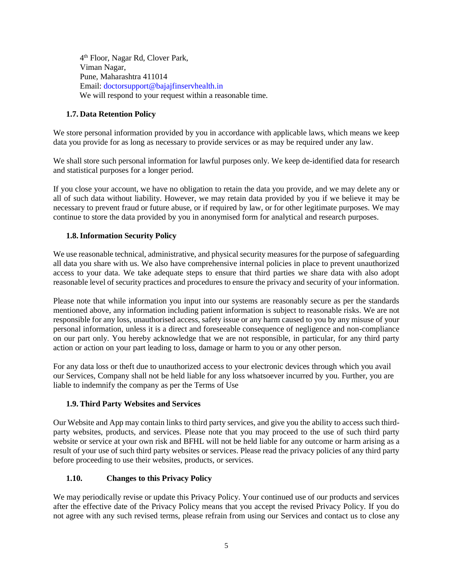4 th Floor, Nagar Rd, Clover Park, Viman Nagar, Pune, Maharashtra 411014 Email: doctorsupport@bajajfinservhealth.in We will respond to your request within a reasonable time.

# **1.7. Data Retention Policy**

We store personal information provided by you in accordance with applicable laws, which means we keep data you provide for as long as necessary to provide services or as may be required under any law.

We shall store such personal information for lawful purposes only. We keep de-identified data for research and statistical purposes for a longer period.

If you close your account, we have no obligation to retain the data you provide, and we may delete any or all of such data without liability. However, we may retain data provided by you if we believe it may be necessary to prevent fraud or future abuse, or if required by law, or for other legitimate purposes. We may continue to store the data provided by you in anonymised form for analytical and research purposes.

# **1.8.Information Security Policy**

We use reasonable technical, administrative, and physical security measures for the purpose of safeguarding all data you share with us. We also have comprehensive internal policies in place to prevent unauthorized access to your data. We take adequate steps to ensure that third parties we share data with also adopt reasonable level of security practices and procedures to ensure the privacy and security of your information.

Please note that while information you input into our systems are reasonably secure as per the standards mentioned above, any information including patient information is subject to reasonable risks. We are not responsible for any loss, unauthorised access, safety issue or any harm caused to you by any misuse of your personal information, unless it is a direct and foreseeable consequence of negligence and non-compliance on our part only. You hereby acknowledge that we are not responsible, in particular, for any third party action or action on your part leading to loss, damage or harm to you or any other person.

For any data loss or theft due to unauthorized access to your electronic devices through which you avail our Services, Company shall not be held liable for any loss whatsoever incurred by you. Further, you are liable to indemnify the company as per the Terms of Use

## **1.9. Third Party Websites and Services**

Our Website and App may contain links to third party services, and give you the ability to access such thirdparty websites, products, and services. Please note that you may proceed to the use of such third party website or service at your own risk and BFHL will not be held liable for any outcome or harm arising as a result of your use of such third party websites or services. Please read the privacy policies of any third party before proceeding to use their websites, products, or services.

## **1.10. Changes to this Privacy Policy**

We may periodically revise or update this Privacy Policy. Your continued use of our products and services after the effective date of the Privacy Policy means that you accept the revised Privacy Policy. If you do not agree with any such revised terms, please refrain from using our Services and contact us to close any